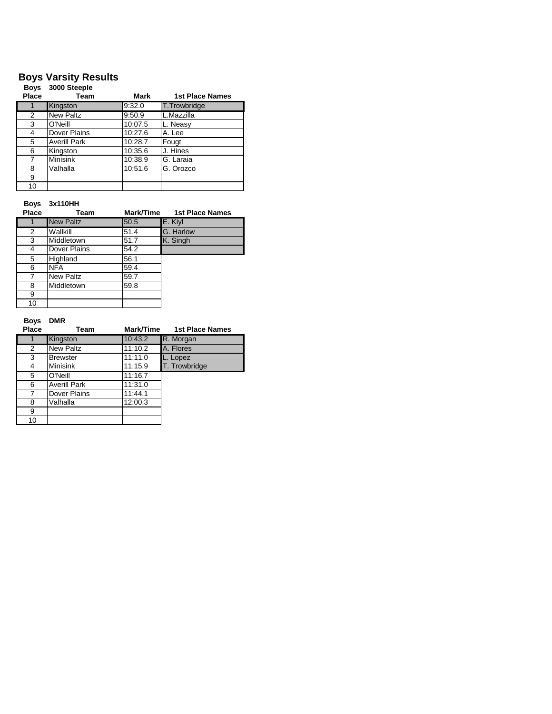## **Boys Varsity Results**

| <b>Boys</b><br>Place | 3000 Steeple<br>Team | Mark    | <b>1st Place Names</b> |
|----------------------|----------------------|---------|------------------------|
|                      | Kingston             | 9:32.0  | <b>T.Trowbridge</b>    |
| 2                    | <b>New Paltz</b>     | 9:50.9  | L.Mazzilla             |
| 3                    | O'Neill              | 10:07.5 | L. Neasy               |
| 4                    | Dover Plains         | 10:27.6 | A. Lee                 |
| 5                    | <b>Averill Park</b>  | 10:28.7 | Fougt                  |
| 6                    | Kingston             | 10:35.6 | J. Hines               |
| 7                    | <b>Minisink</b>      | 10:38.9 | G. Laraia              |
| 8                    | Valhalla             | 10:51.6 | G. Orozco              |
| 9                    |                      |         |                        |
| 10                   |                      |         |                        |

**Boys 3x110HH**

| Place | Team             | Mark/Time | <b>1st Place Names</b> |
|-------|------------------|-----------|------------------------|
|       | <b>New Paltz</b> | 50.5      | E. Kiyl                |
| 2     | Wallkill         | 51.4      | G. Harlow              |
| 3     | Middletown       | 51.7      | K. Singh               |
| 4     | Dover Plains     | 54.2      |                        |
| 5     | Highland         | 56.1      |                        |
| 6     | <b>NFA</b>       | 59.4      |                        |
|       | New Paltz        | 59.7      |                        |
| 8     | Middletown       | 59.8      |                        |
| 9     |                  |           |                        |
| 10    |                  |           |                        |

## **Boys DMR**

| <b>Place</b> | Team                | Mark/Time | <b>1st Place Names</b> |
|--------------|---------------------|-----------|------------------------|
|              | Kingston            | 10:43.2   | R. Morgan              |
| 2            | <b>New Paltz</b>    | 11:10.2   | A. Flores              |
| 3            | <b>Brewster</b>     | 11:11.0   | Lopez                  |
| 4            | <b>Minisink</b>     | 11:15.9   | T. Trowbridge          |
| 5            | O'Neill             | 11:16.7   |                        |
| 6            | <b>Averill Park</b> | 11:31.0   |                        |
| 7            | Dover Plains        | 11:44.1   |                        |
| 8            | Valhalla            | 12:00.3   |                        |
| 9            |                     |           |                        |
| 10           |                     |           |                        |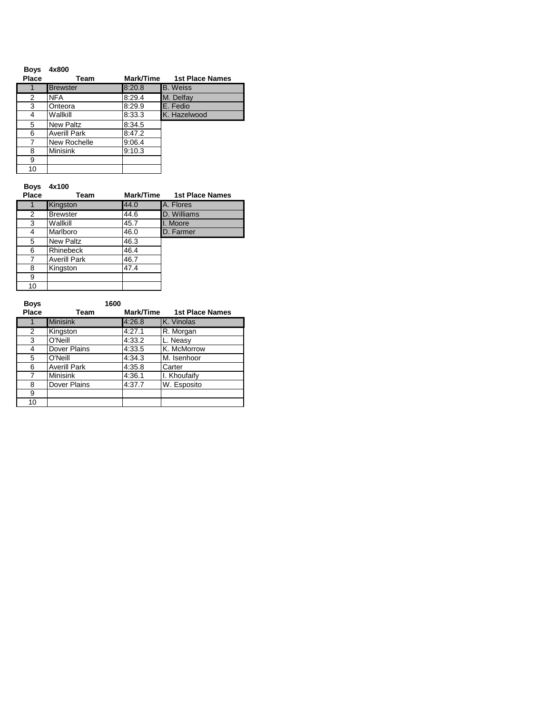| <b>Boys</b> | 4x800               |           |                        |
|-------------|---------------------|-----------|------------------------|
| Place       | Team                | Mark/Time | <b>1st Place Names</b> |
|             | <b>Brewster</b>     | 8:20.8    | <b>B.</b> Weiss        |
| 2           | <b>NFA</b>          | 8:29.4    | M. Delfay              |
| 3           | Onteora             | 8:29.9    | E. Fedio               |
| 4           | Wallkill            | 8:33.3    | K. Hazelwood           |
| 5           | New Paltz           | 8:34.5    |                        |
| 6           | <b>Averill Park</b> | 8:47.2    |                        |
|             | New Rochelle        | 9:06.4    |                        |
| 8           | <b>Minisink</b>     | 9:10.3    |                        |
| 9           |                     |           |                        |
| 10          |                     |           |                        |

## **Boys 4x100**

| Place | Team                | Mark/Time | <b>1st Place Names</b> |
|-------|---------------------|-----------|------------------------|
|       | Kingston            | 44.0      | A. Flores              |
| 2     | <b>Brewster</b>     | 44.6      | D. Williams            |
| 3     | Wallkill            | 45.7      | I. Moore               |
| 4     | Marlboro            | 46.0      | D. Farmer              |
| 5     | <b>New Paltz</b>    | 46.3      |                        |
| 6     | <b>Rhinebeck</b>    | 46.4      |                        |
| 7     | <b>Averill Park</b> | 46.7      |                        |
| 8     | Kingston            | 47.4      |                        |
| 9     |                     |           |                        |
| 10    |                     |           |                        |

| <b>Boys</b> | 1600                |           |                        |
|-------------|---------------------|-----------|------------------------|
| Place       | Team                | Mark/Time | <b>1st Place Names</b> |
|             | <b>Minisink</b>     | 4:26.8    | <b>K. Vinolas</b>      |
| 2           | Kingston            | 4:27.1    | R. Morgan              |
| 3           | O'Neill             | 4:33.2    | L. Neasy               |
| 4           | Dover Plains        | 4:33.5    | K. McMorrow            |
| 5           | O'Neill             | 4:34.3    | M. Isenhoor            |
| 6           | <b>Averill Park</b> | 4:35.8    | Carter                 |
| 7           | <b>Minisink</b>     | 4:36.1    | I. Khoufaify           |
| 8           | Dover Plains        | 4:37.7    | W. Esposito            |
| 9           |                     |           |                        |
| 10          |                     |           |                        |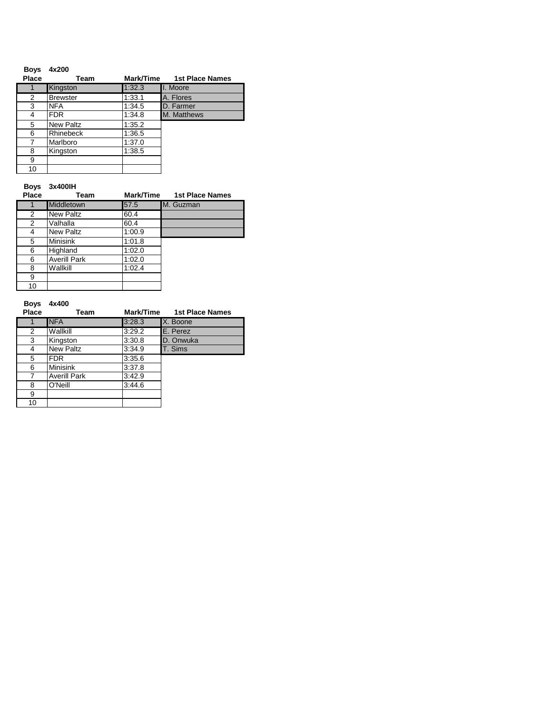| <b>Boys</b> | 4x200            |           |                        |
|-------------|------------------|-----------|------------------------|
| Place       | Team             | Mark/Time | <b>1st Place Names</b> |
|             | Kingston         | 1:32.3    | I. Moore               |
| 2           | <b>Brewster</b>  | 1:33.1    | A. Flores              |
| 3           | <b>NFA</b>       | 1:34.5    | D. Farmer              |
| 4           | <b>FDR</b>       | 1:34.8    | M. Matthews            |
| 5           | <b>New Paltz</b> | 1:35.2    |                        |
| 6           | Rhinebeck        | 1:36.5    |                        |
| 7           | Marlboro         | 1:37.0    |                        |
| 8           | Kingston         | 1:38.5    |                        |
| 9           |                  |           |                        |
| 10          |                  |           |                        |

### **Boys 3x400IH**

| Place          | Team                | Mark/Time | <b>1st Place Names</b> |
|----------------|---------------------|-----------|------------------------|
|                | Middletown          | 57.5      | M. Guzman              |
| $\overline{2}$ | <b>New Paltz</b>    | 60.4      |                        |
| $\overline{2}$ | Valhalla            | 60.4      |                        |
| 4              | <b>New Paltz</b>    | 1:00.9    |                        |
| 5              | <b>Minisink</b>     | 1:01.8    |                        |
| 6              | Highland            | 1:02.0    |                        |
| 6              | <b>Averill Park</b> | 1:02.0    |                        |
| 8              | Wallkill            | 1:02.4    |                        |
| 9              |                     |           |                        |
| 10             |                     |           |                        |

## **Boys 4x400**

| <b>Place</b> | Team                | Mark/Time | <b>1st Place Names</b> |
|--------------|---------------------|-----------|------------------------|
|              | <b>NFA</b>          | 3:28.3    | X. Boone               |
| 2            | Wallkill            | 3:29.2    | E. Perez               |
| 3            | Kingston            | 3:30.8    | D. Onwuka              |
| 4            | <b>New Paltz</b>    | 3:34.9    | T. Sims                |
| 5            | <b>FDR</b>          | 3:35.6    |                        |
| 6            | <b>Minisink</b>     | 3:37.8    |                        |
| 7            | <b>Averill Park</b> | 3:42.9    |                        |
| 8            | O'Neill             | 3:44.6    |                        |
| 9            |                     |           |                        |
| 10           |                     |           |                        |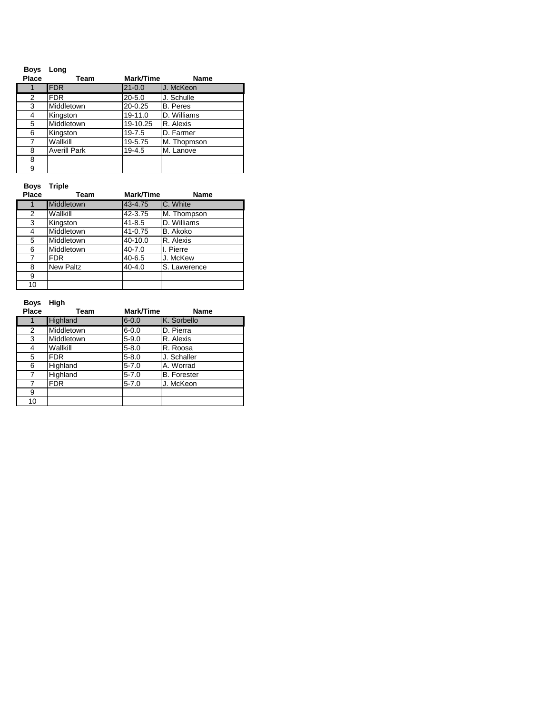| <b>Boys</b><br>Place | Long<br>Team        | Mark/Time   | Name            |
|----------------------|---------------------|-------------|-----------------|
|                      | <b>FDR</b>          | $21 - 0.0$  | U. McKeon       |
| 2                    | <b>FDR</b>          | $20 - 5.0$  | J. Schulle      |
| 3                    | Middletown          | $20 - 0.25$ | <b>B.</b> Peres |
| 4                    | Kingston            | 19-11.0     | D. Williams     |
| 5                    | Middletown          | 19-10.25    | R. Alexis       |
| 6                    | Kingston            | $19 - 7.5$  | D. Farmer       |
| 7                    | Wallkill            | 19-5.75     | M. Thopmson     |
| 8                    | <b>Averill Park</b> | $19 - 4.5$  | M. Lanove       |
| 8                    |                     |             |                 |
| 9                    |                     |             |                 |

**Boys Triple**

| Place | Team             | Mark/Time  | <b>Name</b>  |
|-------|------------------|------------|--------------|
|       | Middletown       | 43-4.75    | C. White     |
| 2     | Wallkill         | 42-3.75    | M. Thompson  |
| 3     | Kingston         | $41 - 8.5$ | D. Williams  |
| 4     | Middletown       | 41-0.75    | B. Akoko     |
| 5     | Middletown       | 40-10.0    | R. Alexis    |
| 6     | Middletown       | $40 - 7.0$ | I. Pierre    |
| 7     | <b>FDR</b>       | $40 - 6.5$ | J. McKew     |
| 8     | <b>New Paltz</b> | $40 - 4.0$ | S. Lawerence |
| 9     |                  |            |              |
| 10    |                  |            |              |

| <b>Boys</b><br>Place | High<br>Team | Mark/Time | <b>Name</b>        |
|----------------------|--------------|-----------|--------------------|
| 1                    | Highland     | $6 - 0.0$ | K. Sorbello        |
| 2                    | Middletown   | $6 - 0.0$ | D. Pierra          |
| 3                    | Middletown   | $5 - 9.0$ | R. Alexis          |
| 4                    | Wallkill     | $5 - 8.0$ | R. Roosa           |
| 5                    | <b>FDR</b>   | $5 - 8.0$ | J. Schaller        |
| 6                    | Highland     | $5 - 7.0$ | A. Worrad          |
| 7                    | Highland     | $5 - 7.0$ | <b>B.</b> Forester |
| 7                    | <b>FDR</b>   | $5 - 7.0$ | J. McKeon          |
| 9                    |              |           |                    |
| 10                   |              |           |                    |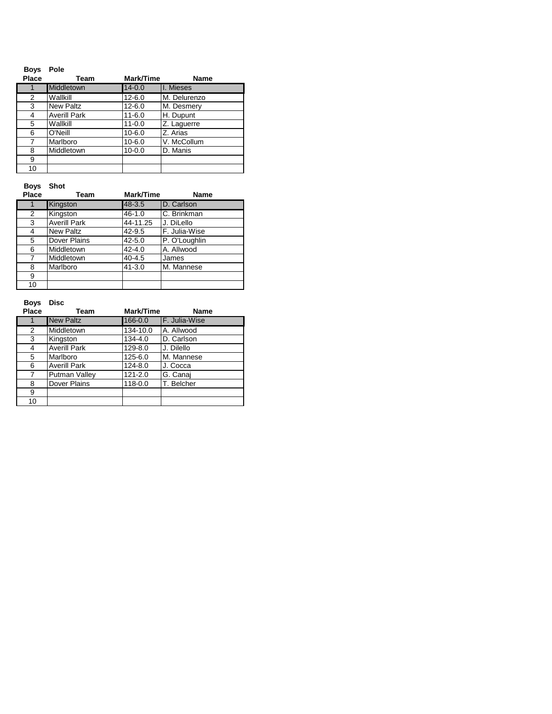| <b>Boys</b> | Pole                |            |              |
|-------------|---------------------|------------|--------------|
| Place       | Team                | Mark/Time  | Name         |
| 1           | <b>Middletown</b>   | $14 - 0.0$ | I. Mieses    |
| 2           | Wallkill            | $12 - 6.0$ | M. Delurenzo |
| 3           | <b>New Paltz</b>    | $12 - 6.0$ | M. Desmery   |
| 4           | <b>Averill Park</b> | $11 - 6.0$ | H. Dupunt    |
| 5           | Wallkill            | $11 - 0.0$ | Z. Laguerre  |
| 6           | O'Neill             | $10 - 6.0$ | Z. Arias     |
| 7           | Marlboro            | $10 - 6.0$ | V. McCollum  |
| 8           | Middletown          | $10 - 0.0$ | D. Manis     |
| 9           |                     |            |              |
| 10          |                     |            |              |

**Boys Shot**

| Place          | Team                | Mark/Time  | <b>Name</b>   |
|----------------|---------------------|------------|---------------|
|                | Kingston            | 48-3.5     | D. Carlson    |
| $\overline{2}$ | Kingston            | $46 - 1.0$ | C. Brinkman   |
| 3              | <b>Averill Park</b> | 44-11.25   | J. DiLello    |
| 4              | <b>New Paltz</b>    | 42-9.5     | F. Julia-Wise |
| 5              | Dover Plains        | $42 - 5.0$ | P. O'Loughlin |
| 6              | Middletown          | $42 - 4.0$ | A. Allwood    |
| 7              | Middletown          | $40 - 4.5$ | James         |
| 8              | Marlboro            | $41 - 3.0$ | M. Mannese    |
| 9              |                     |            |               |
| 10             |                     |            |               |

| <b>Boys</b> | Disc                |             |               |
|-------------|---------------------|-------------|---------------|
| Place       | Team                | Mark/Time   | <b>Name</b>   |
| 1           | <b>New Paltz</b>    | 166-0.0     | F. Julia-Wise |
| 2           | Middletown          | 134-10.0    | A. Allwood    |
| 3           | Kingston            | $134 - 4.0$ | D. Carlson    |
| 4           | <b>Averill Park</b> | 129-8.0     | J. Dilello    |
| 5           | Marlboro            | 125-6.0     | M. Mannese    |
| 6           | <b>Averill Park</b> | 124-8.0     | J. Cocca      |
| 7           | Putman Valley       | $121 - 2.0$ | G. Canaj      |
| 8           | Dover Plains        | 118-0.0     | T. Belcher    |
| 9           |                     |             |               |
| 10          |                     |             |               |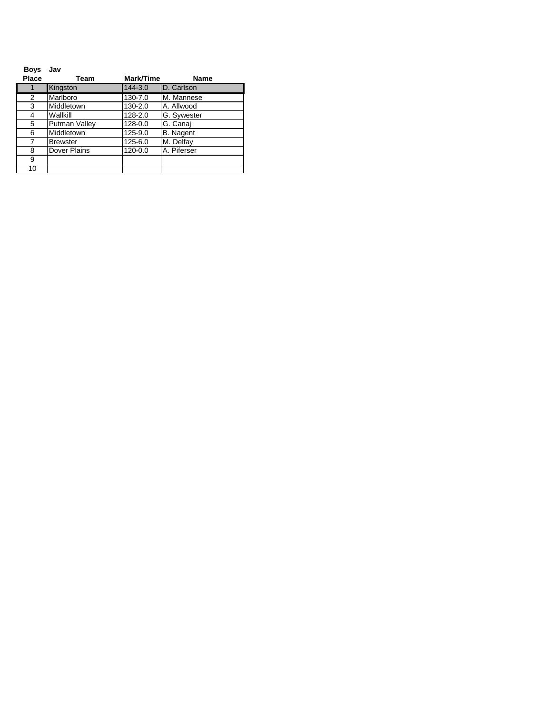| <b>Boys</b> | Jav             |           |                  |
|-------------|-----------------|-----------|------------------|
| Place       | Team            | Mark/Time | Name             |
|             | Kingston        | 144-3.0   | D. Carlson       |
| 2           | Marlboro        | 130-7.0   | M. Mannese       |
| 3           | Middletown      | 130-2.0   | A. Allwood       |
| 4           | Wallkill        | 128-2.0   | G. Sywester      |
| 5           | Putman Valley   | 128-0.0   | G. Canai         |
| 6           | Middletown      | 125-9.0   | <b>B.</b> Nagent |
| 7           | <b>Brewster</b> | 125-6.0   | M. Delfay        |
| 8           | Dover Plains    | 120-0.0   | A. Piferser      |
| 9           |                 |           |                  |
| 10          |                 |           |                  |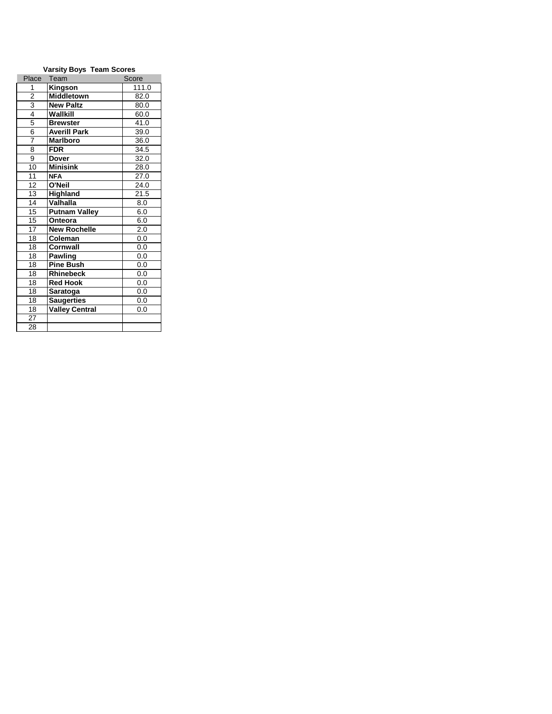| <b>Varsity Boys Team Scores</b> |                       |                   |  |
|---------------------------------|-----------------------|-------------------|--|
| Place                           | Team                  | Score             |  |
| 1                               | Kingson               | 111.0             |  |
| $\overline{2}$                  | <b>Middletown</b>     | 82.0              |  |
| $\overline{3}$                  | <b>New Paltz</b>      | 80.0              |  |
| $\overline{4}$                  | Wallkill              | 60.0              |  |
| 5                               | <b>Brewster</b>       | 41.0              |  |
| 6                               | <b>Averill Park</b>   | 39.0              |  |
| $\overline{7}$                  | <b>Marlboro</b>       | 36.0              |  |
| 8                               | <b>FDR</b>            | 34.5              |  |
| 9                               | <b>Dover</b>          | 32.0              |  |
| 10                              | <b>Minisink</b>       | 28.0              |  |
| 11                              | <b>NFA</b>            | 27.0              |  |
| 12                              | O'Neil                | 24.0              |  |
| 13                              | Highland              | $21.\overline{5}$ |  |
| 14                              | Valhalla              | 8.0               |  |
| 15                              | <b>Putnam Valley</b>  | 6.0               |  |
| 15                              | Onteora               | 6.0               |  |
| $\overline{17}$                 | <b>New Rochelle</b>   | 2.0               |  |
| 18                              | Coleman               | 0.0               |  |
| 18                              | Cornwall              | 0.0               |  |
| 18                              | <b>Pawling</b>        | 0.0               |  |
| 18                              | <b>Pine Bush</b>      | 0.0               |  |
| 18                              | <b>Rhinebeck</b>      | 0.0               |  |
| 18                              | <b>Red Hook</b>       | 0.0               |  |
| 18                              | Saratoga              | 0.0               |  |
| 18                              | <b>Saugerties</b>     | 0.0               |  |
| 18                              | <b>Valley Central</b> | 0.0               |  |
| 27                              |                       |                   |  |
| 28                              |                       |                   |  |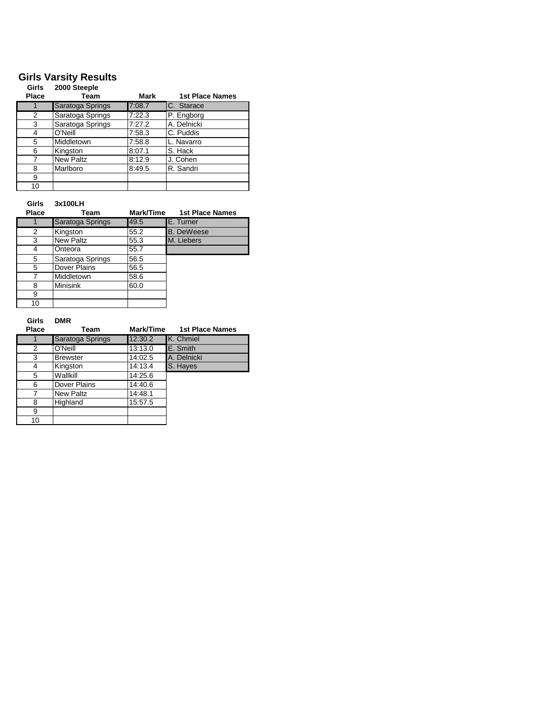## **Girls Varsity Results**

| Girls<br><b>Place</b> | 2000 Steeple<br>Team | Mark   | <b>1st Place Names</b> |
|-----------------------|----------------------|--------|------------------------|
| 1                     | Saratoga Springs     | 7:08.7 | C. Starace             |
| 2                     | Saratoga Springs     | 7:22.3 | P. Engborg             |
| 3                     | Saratoga Springs     | 7:27.2 | A. Delnicki            |
| 4                     | O'Neill              | 7:58.3 | C. Puddis              |
| 5                     | Middletown           | 7:58.8 | L. Navarro             |
| 6                     | Kingston             | 8:07.1 | S. Hack                |
| 7                     | <b>New Paltz</b>     | 8:12.9 | J. Cohen               |
| 8                     | Marlboro             | 8:49.5 | R. Sandri              |
| 9                     |                      |        |                        |
| 10                    |                      |        |                        |

**Girls 3x100LH**

| <b>Place</b> | Team             | Mark/Time | <b>1st Place Names</b> |
|--------------|------------------|-----------|------------------------|
|              | Saratoga Springs | 49.5      | E. Turner              |
| 2            | Kingston         | 55.2      | <b>B.</b> DeWeese      |
| 3            | <b>New Paltz</b> | 55.3      | M. Liebers             |
| 4            | Onteora          | 55.7      |                        |
| 5            | Saratoga Springs | 56.5      |                        |
| 5            | Dover Plains     | 56.5      |                        |
|              | Middletown       | 58.6      |                        |
| 8            | <b>Minisink</b>  | 60.0      |                        |
| 9            |                  |           |                        |
| 10           |                  |           |                        |

### **Girls DMR**

| <b>Place</b> | Team             | Mark/Time | <b>1st Place Names</b> |
|--------------|------------------|-----------|------------------------|
|              | Saratoga Springs | 12:30.2   | <b>K.</b> Chmiel       |
| 2            | O'Neill          | 13:13.0   | E. Smith               |
| 3            | <b>Brewster</b>  | 14:02.5   | A. Delnicki            |
| 4            | Kingston         | 14:13.4   | S. Hayes               |
| 5            | Wallkill         | 14:25.6   |                        |
| 6            | Dover Plains     | 14:40.6   |                        |
| 7            | New Paltz        | 14:48.1   |                        |
| 8            | Highland         | 15:57.5   |                        |
| 9            |                  |           |                        |
| 10           |                  |           |                        |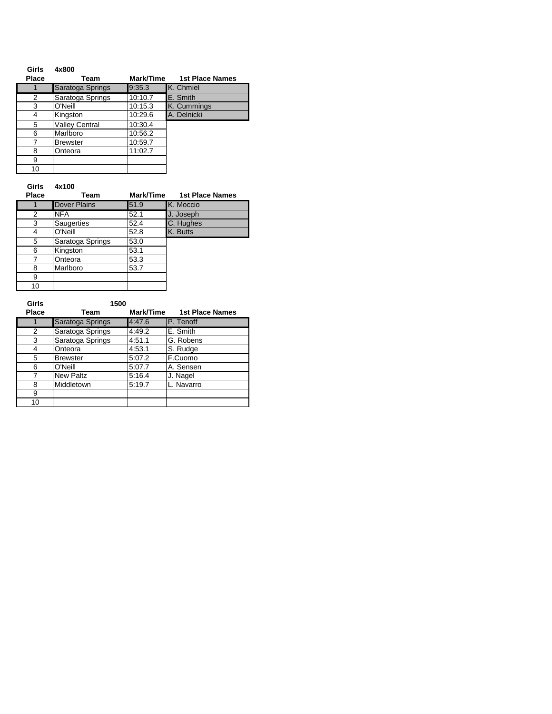| Girls        | 4x800                 |           |                        |
|--------------|-----------------------|-----------|------------------------|
| <b>Place</b> | Team                  | Mark/Time | <b>1st Place Names</b> |
|              | Saratoga Springs      | 9:35.3    | K. Chmiel              |
| 2            | Saratoga Springs      | 10:10.7   | E. Smith               |
| 3            | O'Neill               | 10:15.3   | K. Cummings            |
| 4            | Kingston              | 10:29.6   | A. Delnicki            |
| 5            | <b>Valley Central</b> | 10:30.4   |                        |
| 6            | Marlboro              | 10:56.2   |                        |
|              | <b>Brewster</b>       | 10:59.7   |                        |
| 8            | Onteora               | 11:02.7   |                        |
| 9            |                       |           |                        |
| 10           |                       |           |                        |

## **Girls 4x100**

| <b>Place</b> | Team                | Mark/Time | <b>1st Place Names</b> |
|--------------|---------------------|-----------|------------------------|
|              | <b>Dover Plains</b> | 51.9      | K. Moccio              |
| 2            | <b>NFA</b>          | 52.1      | J. Joseph              |
| 3            | <b>Saugerties</b>   | 52.4      | C. Hughes              |
| 4            | O'Neill             | 52.8      | K. Butts               |
| 5            | Saratoga Springs    | 53.0      |                        |
| 6            | Kingston            | 53.1      |                        |
| 7            | Onteora             | 53.3      |                        |
| 8            | Marlboro            | 53.7      |                        |
| 9            |                     |           |                        |
| 10           |                     |           |                        |

| Girls        | 1500             |           |                        |
|--------------|------------------|-----------|------------------------|
| <b>Place</b> | Team             | Mark/Time | <b>1st Place Names</b> |
|              | Saratoga Springs | 4:47.6    | P. Tenoff              |
| 2            | Saratoga Springs | 4:49.2    | E. Smith               |
| 3            | Saratoga Springs | 4:51.1    | G. Robens              |
| 4            | Onteora          | 4:53.1    | S. Rudge               |
| 5            | <b>Brewster</b>  | 5:07.2    | F.Cuomo                |
| 6            | O'Neill          | 5:07.7    | A. Sensen              |
| 7            | <b>New Paltz</b> | 5:16.4    | J. Nagel               |
| 8            | Middletown       | 5:19.7    | L. Navarro             |
| 9            |                  |           |                        |
| 10           |                  |           |                        |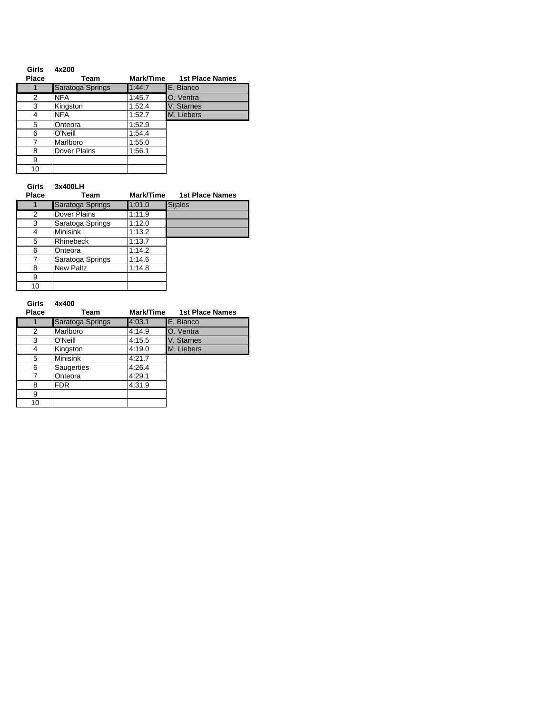| Girls        | 4x200            |           |                        |
|--------------|------------------|-----------|------------------------|
| <b>Place</b> | Team             | Mark/Time | <b>1st Place Names</b> |
|              | Saratoga Springs | 1:44.7    | E. Bianco              |
| 2            | <b>NFA</b>       | 1:45.7    | O. Ventra              |
| 3            | Kingston         | 1:52.4    | V. Starnes             |
| 4            | <b>NFA</b>       | 1:52.7    | M. Liebers             |
| 5            | Onteora          | 1:52.9    |                        |
| 6            | O'Neill          | 1:54.4    |                        |
|              | Marlboro         | 1:55.0    |                        |
| 8            | Dover Plains     | 1:56.1    |                        |
| 9            |                  |           |                        |
| 10           |                  |           |                        |

## **Girls 3x400LH**

| <b>Place</b> | Team             | Mark/Time | <b>1st Place Names</b> |
|--------------|------------------|-----------|------------------------|
|              | Saratoga Springs | 1:01.0    | <b>Sijalos</b>         |
| 2            | Dover Plains     | 1:11.9    |                        |
| 3            | Saratoga Springs | 1:12.0    |                        |
| 4            | <b>Minisink</b>  | 1:13.2    |                        |
| 5            | <b>Rhinebeck</b> | 1:13.7    |                        |
| 6            | Onteora          | 1:14.2    |                        |
| 7            | Saratoga Springs | 1:14.6    |                        |
| 8            | New Paltz        | 1:14.8    |                        |
| 9            |                  |           |                        |
| 10           |                  |           |                        |

| Girls<br><b>Place</b> | 4x400<br>Team    | Mark/Time | 1st Place Names |
|-----------------------|------------------|-----------|-----------------|
|                       | Saratoga Springs | 4:03.1    | E. Bianco       |
| 2                     | Marlboro         | 4:14.9    | O. Ventra       |
| 3                     | O'Neill          | 4:15.5    | V. Starnes      |
| 4                     | Kingston         | 4:19.0    | M. Liebers      |
| 5                     | <b>Minisink</b>  | 4:21.7    |                 |
| 6                     | Saugerties       | 4:26.4    |                 |
| 7                     | Onteora          | 4:29.1    |                 |
| 8                     | <b>FDR</b>       | 4:31.9    |                 |
| 9                     |                  |           |                 |
| 10                    |                  |           |                 |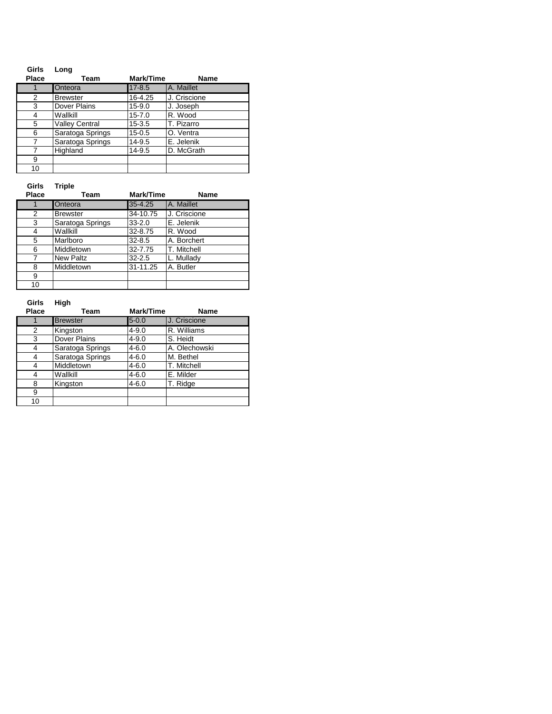| Girls<br><b>Place</b> | Long<br>Team          | Mark/Time  | <b>Name</b>  |
|-----------------------|-----------------------|------------|--------------|
| 1                     | Onteora               | $17 - 8.5$ | A. Maillet   |
| 2                     | <b>Brewster</b>       | 16-4.25    | J. Criscione |
| 3                     | Dover Plains          | $15 - 9.0$ | J. Joseph    |
| 4                     | Wallkill              | $15 - 7.0$ | R. Wood      |
| 5                     | <b>Valley Central</b> | $15 - 3.5$ | T. Pizarro   |
| 6                     | Saratoga Springs      | $15 - 0.5$ | O. Ventra    |
| 7                     | Saratoga Springs      | $14 - 9.5$ | E. Jelenik   |
| 7                     | Highland              | $14 - 9.5$ | D. McGrath   |
| 9                     |                       |            |              |
| 10                    |                       |            |              |

**Girls Triple**

| <b>Place</b> | Team             | Mark/Time  | Name         |
|--------------|------------------|------------|--------------|
|              | Onteora          | 35-4.25    | A. Maillet   |
| 2            | <b>Brewster</b>  | 34-10.75   | J. Criscione |
| 3            | Saratoga Springs | $33 - 2.0$ | E. Jelenik   |
| 4            | Wallkill         | 32-8.75    | R. Wood      |
| 5            | Marlboro         | $32 - 8.5$ | A. Borchert  |
| 6            | Middletown       | 32-7.75    | T. Mitchell  |
| 7            | New Paltz        | $32 - 2.5$ | L. Mullady   |
| 8            | Middletown       | 31-11.25   | A. Butler    |
| 9            |                  |            |              |
| 10           |                  |            |              |

| Girls<br><b>Place</b> | High<br>Team     | Mark/Time | <b>Name</b>   |
|-----------------------|------------------|-----------|---------------|
| 1                     | <b>Brewster</b>  | $5 - 0.0$ | J. Criscione  |
| 2                     | Kingston         | $4 - 9.0$ | R. Williams   |
| 3                     | Dover Plains     | $4 - 9.0$ | S. Heidt      |
| 4                     | Saratoga Springs | $4 - 6.0$ | A. Olechowski |
| 4                     | Saratoga Springs | $4 - 6.0$ | M. Bethel     |
| 4                     | Middletown       | $4 - 6.0$ | T. Mitchell   |
| 4                     | Wallkill         | $4 - 6.0$ | E. Milder     |
| 8                     | Kingston         | $4 - 6.0$ | T. Ridge      |
| 9                     |                  |           |               |
| 10                    |                  |           |               |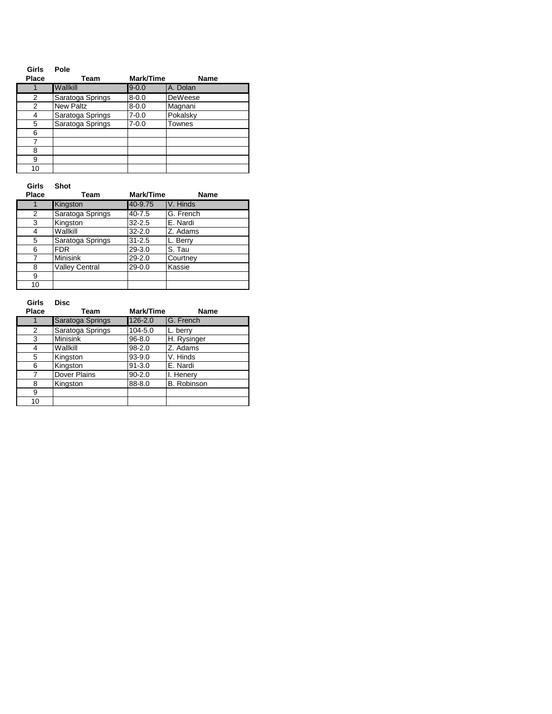| <b>Girls</b> | Pole             |           |                |
|--------------|------------------|-----------|----------------|
| <b>Place</b> | Team             | Mark/Time | Name           |
|              | Wallkill         | $9 - 0.0$ | A. Dolan       |
| 2            | Saratoga Springs | $8 - 0.0$ | <b>DeWeese</b> |
| 2            | <b>New Paltz</b> | $8 - 0.0$ | Magnani        |
| 4            | Saratoga Springs | $7 - 0.0$ | Pokalsky       |
| 5            | Saratoga Springs | $7 - 0.0$ | Townes         |
| 6            |                  |           |                |
|              |                  |           |                |
| 8            |                  |           |                |
| 9            |                  |           |                |
| 10           |                  |           |                |

**Girls Shot**

| <b>Place</b> | Team                  | Mark/Time  | Name      |
|--------------|-----------------------|------------|-----------|
|              | Kingston              | 40-9.75    | V. Hinds  |
| 2            | Saratoga Springs      | $40 - 7.5$ | G. French |
| 3            | Kingston              | $32 - 2.5$ | E. Nardi  |
| 4            | Wallkill              | $32 - 2.0$ | Z. Adams  |
| 5            | Saratoga Springs      | $31 - 2.5$ | L. Berry  |
| 6            | <b>FDR</b>            | 29-3.0     | S. Tau    |
| 7            | <b>Minisink</b>       | $29 - 2.0$ | Courtney  |
| 8            | <b>Valley Central</b> | $29 - 0.0$ | Kassie    |
| 9            |                       |            |           |
| 10           |                       |            |           |

| Girls<br><b>Place</b> | <b>Disc</b><br>Team | Mark/Time   | <b>Name</b>        |
|-----------------------|---------------------|-------------|--------------------|
|                       | Saratoga Springs    | 126-2.0     | G. French          |
| 2                     | Saratoga Springs    | $104 - 5.0$ | L. berry           |
| 3                     | <b>Minisink</b>     | $96 - 8.0$  | H. Rysinger        |
| 4                     | Wallkill            | $98 - 2.0$  | Z. Adams           |
| 5                     | Kingston            | $93 - 9.0$  | V. Hinds           |
| 6                     | Kingston            | $91 - 3.0$  | E. Nardi           |
| 7                     | Dover Plains        | $90 - 2.0$  | I. Henery          |
| 8                     | Kingston            | $88 - 8.0$  | <b>B.</b> Robinson |
| 9                     |                     |             |                    |
| 10                    |                     |             |                    |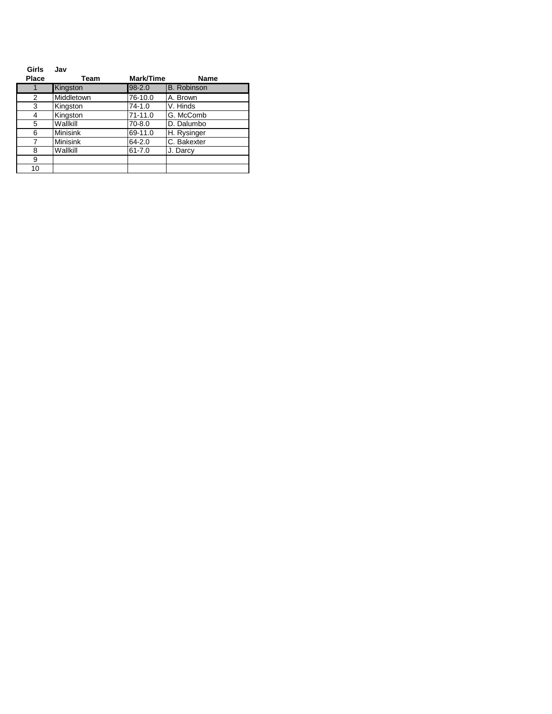| Girls        | Jav             |            |                    |
|--------------|-----------------|------------|--------------------|
| <b>Place</b> | Team            | Mark/Time  | <b>Name</b>        |
| 1            | Kingston        | $98 - 2.0$ | <b>B.</b> Robinson |
| 2            | Middletown      | 76-10.0    | A. Brown           |
| 3            | Kingston        | $74 - 1.0$ | V. Hinds           |
| 4            | Kingston        | 71-11.0    | G. McComb          |
| 5            | Wallkill        | 70-8.0     | D. Dalumbo         |
| 6            | <b>Minisink</b> | 69-11.0    | H. Rysinger        |
| 7            | <b>Minisink</b> | 64-2.0     | C. Bakexter        |
| 8            | Wallkill        | $61 - 7.0$ | J. Darcy           |
| 9            |                 |            |                    |
| 10           |                 |            |                    |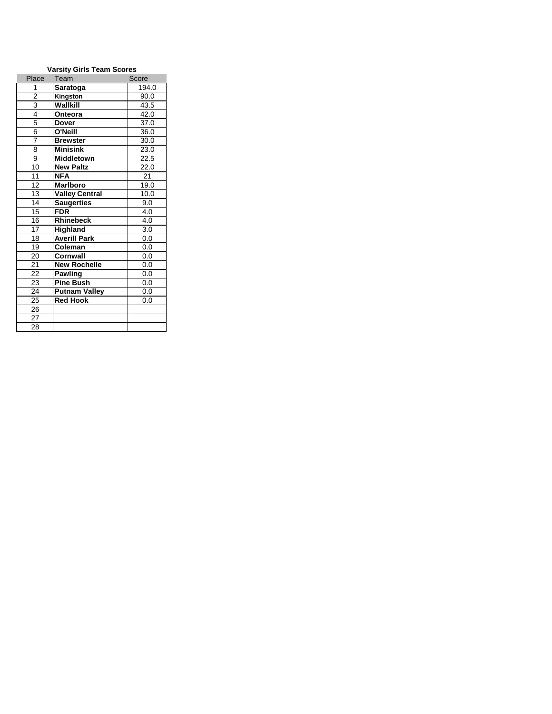| <b>Varsity Girls Team Scores</b> |                       |       |  |
|----------------------------------|-----------------------|-------|--|
| Place                            | Team                  | Score |  |
| 1                                | Saratoga              | 194.0 |  |
| $\overline{2}$                   | Kingston              | 90.0  |  |
| $\frac{3}{4}$                    | Wallkill              | 43.5  |  |
|                                  | Onteora               | 42.0  |  |
| 5                                | <b>Dover</b>          | 37.0  |  |
| 6                                | O'Neill               | 36.0  |  |
| 7                                | <b>Brewster</b>       | 30.0  |  |
| 8                                | <b>Minisink</b>       | 23.0  |  |
| 9                                | <b>Middletown</b>     | 22.5  |  |
| 10                               | <b>New Paltz</b>      | 22.0  |  |
| 11                               | <b>NFA</b>            | 21    |  |
| 12                               | <b>Marlboro</b>       | 19.0  |  |
| $\overline{13}$                  | <b>Valley Central</b> | 10.0  |  |
| 14                               | <b>Saugerties</b>     | 9.0   |  |
| 15                               | <b>FDR</b>            | 4.0   |  |
| 16                               | <b>Rhinebeck</b>      | 4.0   |  |
| $\overline{17}$                  | <b>Highland</b>       | 3.0   |  |
| 18                               | <b>Averill Park</b>   | 0.0   |  |
| 19                               | Coleman               | 0.0   |  |
| 20                               | <b>Cornwall</b>       | 0.0   |  |
| 21                               | <b>New Rochelle</b>   | 0.0   |  |
| 22                               | <b>Pawling</b>        | 0.0   |  |
| 23                               | <b>Pine Bush</b>      | 0.0   |  |
| 24                               | <b>Putnam Valley</b>  | 0.0   |  |
| 25                               | <b>Red Hook</b>       | 0.0   |  |
| 26                               |                       |       |  |
| 27                               |                       |       |  |
| 28                               |                       |       |  |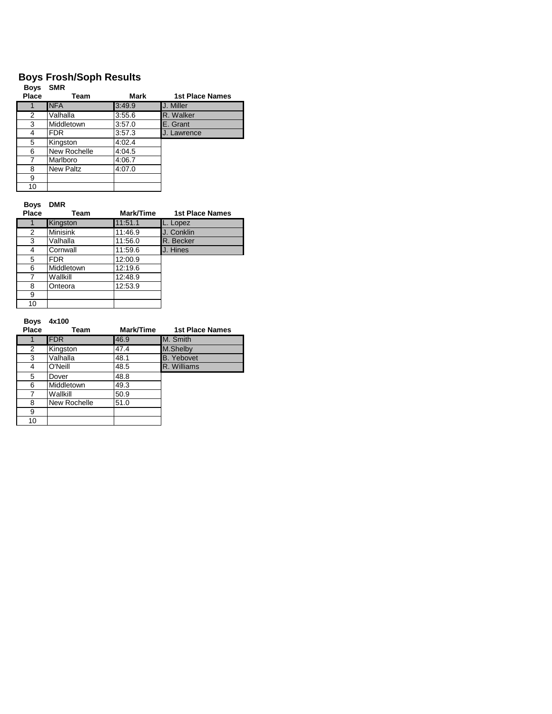## **Boys Frosh/Soph Results**

| <b>Boys</b><br>Place | <b>SMR</b><br>Team | Mark   | <b>1st Place Names</b> |
|----------------------|--------------------|--------|------------------------|
|                      |                    |        |                        |
|                      | <b>NFA</b>         | 3:49.9 | J. Miller              |
| 2                    | Valhalla           | 3:55.6 | R. Walker              |
| 3                    | Middletown         | 3:57.0 | E. Grant               |
| 4                    | <b>FDR</b>         | 3:57.3 | J. Lawrence            |
| 5                    | Kingston           | 4:02.4 |                        |
| 6                    | New Rochelle       | 4:04.5 |                        |
| 7                    | Marlboro           | 4:06.7 |                        |
| 8                    | <b>New Paltz</b>   | 4:07.0 |                        |
| 9                    |                    |        |                        |
| 10                   |                    |        |                        |

## **Boys DMR**

| Place | Team            | Mark/Time | <b>1st Place Names</b> |
|-------|-----------------|-----------|------------------------|
|       | Kingston        | 11:51.1   | L. Lopez               |
| 2     | <b>Minisink</b> | 11:46.9   | J. Conklin             |
| 3     | Valhalla        | 11:56.0   | R. Becker              |
| 4     | Cornwall        | 11:59.6   | J. Hines               |
| 5     | <b>FDR</b>      | 12:00.9   |                        |
| 6     | Middletown      | 12:19.6   |                        |
| 7     | Wallkill        | 12:48.9   |                        |
| 8     | Onteora         | 12:53.9   |                        |
| 9     |                 |           |                        |
| 10    |                 |           |                        |

#### **Boys 4x100**

| Place | Team         | Mark/Time | <b>1st Place Names</b> |
|-------|--------------|-----------|------------------------|
|       | <b>FDR</b>   | 46.9      | M. Smith               |
| 2     | Kingston     | 47.4      | M.Shelby               |
| 3     | Valhalla     | 48.1      | <b>B.</b> Yebovet      |
| 4     | O'Neill      | 48.5      | R. Williams            |
| 5     | Dover        | 48.8      |                        |
| 6     | Middletown   | 49.3      |                        |
|       | Wallkill     | 50.9      |                        |
| 8     | New Rochelle | 51.0      |                        |
| 9     |              |           |                        |
| 10    |              |           |                        |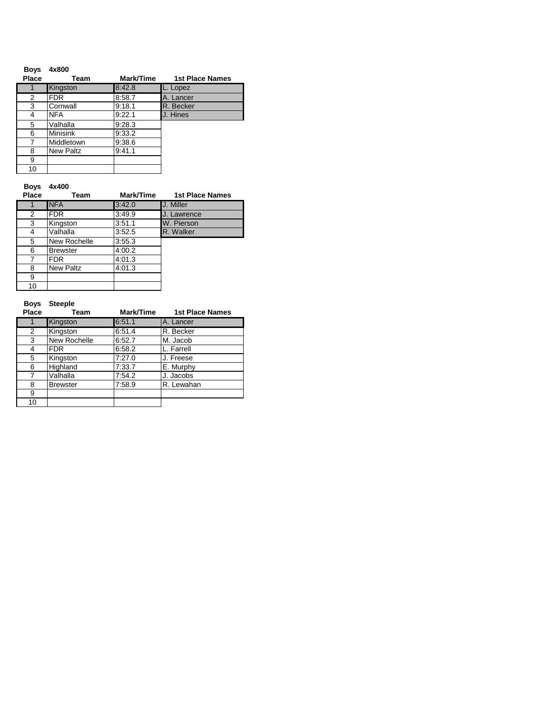| <b>Boys</b> | 4x800            |           |                        |
|-------------|------------------|-----------|------------------------|
| Place       | Team             | Mark/Time | <b>1st Place Names</b> |
|             | Kingston         | 8:42.8    | L. Lopez               |
| 2           | FDR.             | 8:58.7    | A. Lancer              |
| 3           | Cornwall         | 9:18.1    | R. Becker              |
| 4           | <b>NFA</b>       | 9:22.1    | J. Hines               |
| 5           | Valhalla         | 9:28.3    |                        |
| 6           | <b>Minisink</b>  | 9:33.2    |                        |
| 7           | Middletown       | 9.38.6    |                        |
| 8           | <b>New Paltz</b> | 9.41.1    |                        |
| 9           |                  |           |                        |
| 10          |                  |           |                        |

### **Boys 4x400**

| Place | Team             | Mark/Time | <b>1st Place Names</b> |
|-------|------------------|-----------|------------------------|
|       | <b>NFA</b>       | 3:42.0    | J. Miller              |
| 2     | <b>FDR</b>       | 3.49.9    | J. Lawrence            |
| 3     | Kingston         | 3:51.1    | W. Pierson             |
| 4     | Valhalla         | 3:52.5    | R. Walker              |
| 5     | New Rochelle     | 3:55.3    |                        |
| 6     | <b>Brewster</b>  | 4:00.2    |                        |
| 7     | <b>FDR</b>       | 4:01.3    |                        |
| 8     | <b>New Paltz</b> | 4:01.3    |                        |
| 9     |                  |           |                        |
| 10    |                  |           |                        |

**Boys Steeple**

| Place | Team            | Mark/Time | <b>1st Place Names</b> |
|-------|-----------------|-----------|------------------------|
|       | Kingston        | 6.51.1    | A. Lancer              |
| 2     | Kingston        | 6.51.4    | R. Becker              |
| 3     | New Rochelle    | 6:52.7    | M. Jacob               |
|       | <b>FDR</b>      | 6:58.2    | L. Farrell             |
| 5     | Kingston        | 7:27.0    | J. Freese              |
| 6     | Highland        | 7:33.7    | E. Murphy              |
| 7     | Valhalla        | 7:54.2    | J. Jacobs              |
| 8     | <b>Brewster</b> | 7:58.9    | R. Lewahan             |
| 9     |                 |           |                        |
| 10    |                 |           |                        |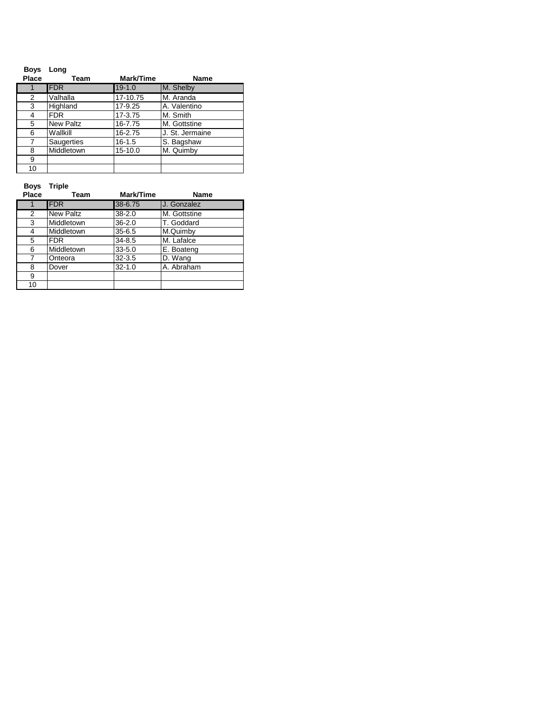| <b>Boys</b><br>Place | Long<br>Team     | Mark/Time  | Name            |
|----------------------|------------------|------------|-----------------|
|                      | <b>FDR</b>       | $19 - 1.0$ | M. Shelby       |
| 2                    | Valhalla         | 17-10.75   | M. Aranda       |
| 3                    | Highland         | 17-9.25    | A. Valentino    |
| 4                    | <b>FDR</b>       | 17-3.75    | M. Smith        |
| 5                    | <b>New Paltz</b> | 16-7.75    | M. Gottstine    |
| 6                    | Wallkill         | 16-2.75    | J. St. Jermaine |
| 7                    | Saugerties       | $16 - 1.5$ | S. Bagshaw      |
| 8                    | Middletown       | 15-10.0    | M. Quimby       |
| 9                    |                  |            |                 |
| 10                   |                  |            |                 |

**Boys Triple**

| Place          | Team             | Mark/Time  | Name         |
|----------------|------------------|------------|--------------|
|                | <b>FDR</b>       | 38-6.75    | J. Gonzalez  |
| $\overline{2}$ | <b>New Paltz</b> | $38 - 2.0$ | M. Gottstine |
| 3              | Middletown       | $36 - 2.0$ | T. Goddard   |
| 4              | Middletown       | $35 - 6.5$ | M.Quimby     |
| 5              | <b>FDR</b>       | 34-8.5     | M. Lafalce   |
| 6              | Middletown       | $33 - 5.0$ | E. Boateng   |
| 7              | Onteora          | $32 - 3.5$ | D. Wang      |
| 8              | Dover            | $32 - 1.0$ | A. Abraham   |
| 9              |                  |            |              |
| 10             |                  |            |              |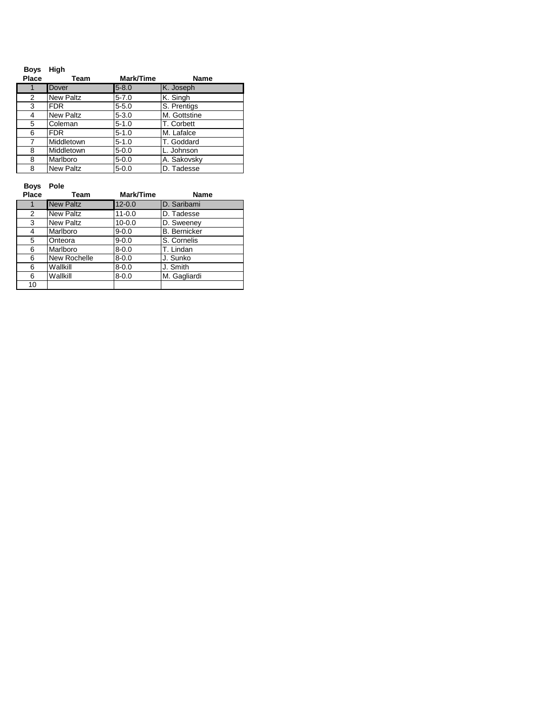| <b>Boys</b><br>Place | High<br>Team     | Mark/Time | <b>Name</b>  |
|----------------------|------------------|-----------|--------------|
| 1                    | Dover            | $5 - 8.0$ | K. Joseph    |
| 2                    | <b>New Paltz</b> | $5 - 7.0$ | K. Singh     |
| 3                    | <b>FDR</b>       | $5 - 5.0$ | S. Prentigs  |
| 4                    | <b>New Paltz</b> | $5 - 3.0$ | M. Gottstine |
| 5                    | Coleman          | $5 - 1.0$ | T. Corbett   |
| 6                    | FDR.             | $5 - 1.0$ | M. Lafalce   |
| $\overline{7}$       | Middletown       | $5 - 1.0$ | T. Goddard   |
| 8                    | Middletown       | $5 - 0.0$ | L. Johnson   |
| 8                    | Marlboro         | $5 - 0.0$ | A. Sakovsky  |
| 8                    | <b>New Paltz</b> | $5 - 0.0$ | D. Tadesse   |

**Boys Pole**

| Place | Team             | Mark/Time  | Name                |
|-------|------------------|------------|---------------------|
|       | <b>New Paltz</b> | $12 - 0.0$ | D. Saribami         |
| 2     | <b>New Paltz</b> | $11 - 0.0$ | D. Tadesse          |
| 3     | <b>New Paltz</b> | $10 - 0.0$ | D. Sweeney          |
| 4     | Marlboro         | $9 - 0.0$  | <b>B.</b> Bernicker |
| 5     | Onteora          | $9 - 0.0$  | S. Cornelis         |
| 6     | Marlboro         | $8 - 0.0$  | T. Lindan           |
| 6     | New Rochelle     | $8 - 0.0$  | J. Sunko            |
| 6     | Wallkill         | $8 - 0.0$  | J. Smith            |
| 6     | Wallkill         | $8 - 0.0$  | M. Gagliardi        |
| 10    |                  |            |                     |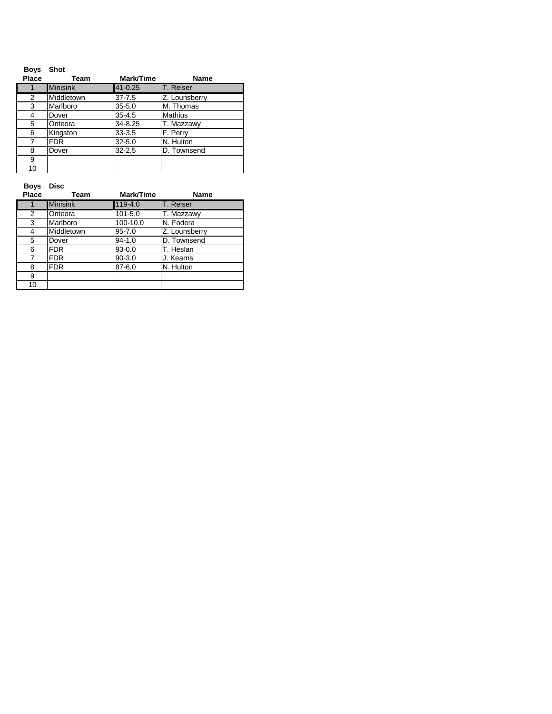| <b>Boys</b><br>Place | <b>Shot</b><br>Team | Mark/Time   | <b>Name</b>   |
|----------------------|---------------------|-------------|---------------|
|                      | <b>Minisink</b>     | $41 - 0.25$ | T. Reiser     |
| 2                    | Middletown          | $37 - 7.5$  | Z. Lounsberry |
| 3                    | Marlboro            | $35 - 5.0$  | M. Thomas     |
| 4                    | Dover               | $35 - 4.5$  | Mathius       |
| 5                    | Onteora             | 34-8.25     | T. Mazzawy    |
| 6                    | Kingston            | $33 - 3.5$  | F. Perry      |
| 7                    | <b>FDR</b>          | $32 - 5.0$  | N. Hulton     |
| 8                    | Dover               | $32 - 2.5$  | D. Townsend   |
| 9                    |                     |             |               |
| 10                   |                     |             |               |

**Boys Disc**

| Place | Team            | Mark/Time   | Name          |
|-------|-----------------|-------------|---------------|
| 1     | <b>Minisink</b> | 119-4.0     | T. Reiser     |
| 2     | Onteora         | $101 - 5.0$ | T. Mazzawy    |
| 3     | Marlboro        | 100-10.0    | N. Fodera     |
| 4     | Middletown      | $95 - 7.0$  | Z. Lounsberry |
| 5     | Dover           | $94 - 1.0$  | D. Townsend   |
| 6     | <b>FDR</b>      | $93 - 0.0$  | T. Heslan     |
| 7     | <b>FDR</b>      | $90 - 3.0$  | J. Kearns     |
| 8     | <b>FDR</b>      | $87 - 6.0$  | N. Hulton     |
| 9     |                 |             |               |
| 10    |                 |             |               |
|       |                 |             |               |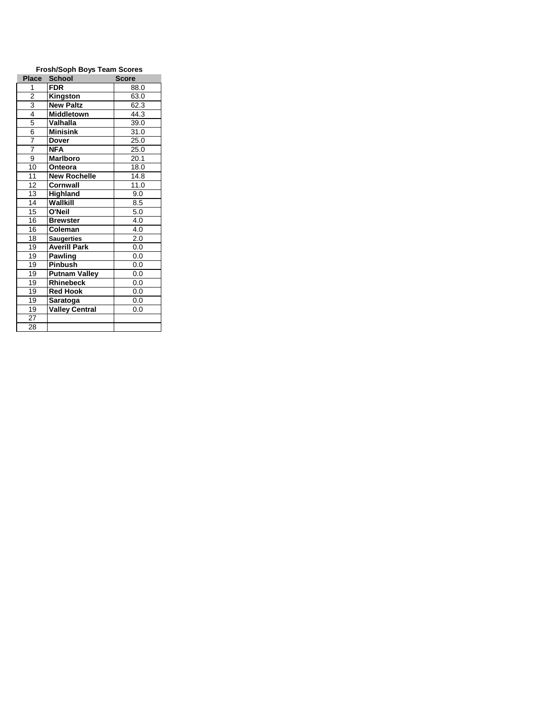| <b>Frosh/Soph Boys Team Scores</b> |                       |       |  |
|------------------------------------|-----------------------|-------|--|
| <b>Place</b>                       | <b>School</b>         | Score |  |
| 1                                  | <b>FDR</b>            | 88.0  |  |
| $\overline{2}$                     | <b>Kingston</b>       | 63.0  |  |
| $\frac{3}{4}$                      | <b>New Paltz</b>      | 62.3  |  |
|                                    | <b>Middletown</b>     | 44.3  |  |
| 5                                  | <b>Valhalla</b>       | 39.0  |  |
| 6                                  | <b>Minisink</b>       | 31.0  |  |
| 7                                  | <b>Dover</b>          | 25.0  |  |
| $\overline{7}$                     | <b>NFA</b>            | 25.0  |  |
| 9                                  | <b>Marlboro</b>       | 20.1  |  |
| 10                                 | Onteora               | 18.0  |  |
| 11                                 | <b>New Rochelle</b>   | 14.8  |  |
| 12                                 | Cornwall              | 11.0  |  |
| 13                                 | Highland              | 9.0   |  |
| 14                                 | Wallkill              | 8.5   |  |
| 15                                 | O'Neil                | 5.0   |  |
| 16                                 | <b>Brewster</b>       | 4.0   |  |
| 16                                 | Coleman               | 4.0   |  |
| 18                                 | <b>Saugerties</b>     | 2.0   |  |
| 19                                 | <b>Averill Park</b>   | 0.0   |  |
| 19                                 | <b>Pawling</b>        | 0.0   |  |
| $\overline{19}$                    | Pinbush               | 0.0   |  |
| 19                                 | <b>Putnam Valley</b>  | 0.0   |  |
| 19                                 | <b>Rhinebeck</b>      | 0.0   |  |
| 19                                 | <b>Red Hook</b>       | 0.0   |  |
| 19                                 | Saratoga              | 0.0   |  |
| 19                                 | <b>Valley Central</b> | 0.0   |  |
| 27                                 |                       |       |  |
| 28                                 |                       |       |  |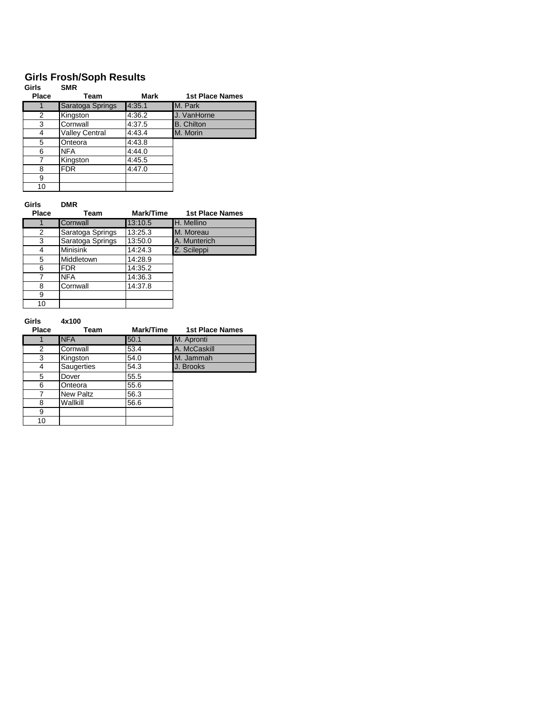# **Girls Frosh/Soph Results**

| Girls        | <b>SMR</b>       |        |                        |
|--------------|------------------|--------|------------------------|
| <b>Place</b> | Team             | Mark   | <b>1st Place Names</b> |
|              | Saratoga Springs | 4:35.1 | M. Park                |
| 2            | Kingston         | 4:36.2 | J. VanHorne            |
| 3            | Cornwall         | 4:37.5 | <b>B.</b> Chilton      |
| 4            | Valley Central   | 4:43.4 | M. Morin               |
| 5            | Onteora          | 4:43.8 |                        |
| 6            | <b>NFA</b>       | 4:44.0 |                        |
|              | Kingston         | 4:45.5 |                        |
| 8            | <b>FDR</b>       | 4:47.0 |                        |
| 9            |                  |        |                        |
| 10           |                  |        |                        |

### **Girls DMR**

| <b>Place</b> | Team             | Mark/Time | <b>1st Place Names</b> |
|--------------|------------------|-----------|------------------------|
|              | Cornwall         | 13:10.5   | H. Mellino             |
| 2            | Saratoga Springs | 13:25.3   | M. Moreau              |
| 3            | Saratoga Springs | 13:50.0   | A. Munterich           |
| 4            | <b>Minisink</b>  | 14:24.3   | Z. Scileppi            |
| 5            | Middletown       | 14:28.9   |                        |
| 6            | <b>FDR</b>       | 14:35.2   |                        |
| 7            | <b>NFA</b>       | 14:36.3   |                        |
| 8            | Cornwall         | 14:37.8   |                        |
| 9            |                  |           |                        |
| 10           |                  |           |                        |

### **Girls 4x100**

| <b>Place</b> | Team       | Mark/Time | <b>1st Place Names</b> |
|--------------|------------|-----------|------------------------|
|              | <b>NFA</b> | 50.1      | M. Apronti             |
| 2            | Cornwall   | 53.4      | A. McCaskill           |
| 3            | Kingston   | 54.0      | M. Jammah              |
| 4            | Saugerties | 54.3      | J. Brooks              |
| 5            | Dover      | 55.5      |                        |
| 6            | Onteora    | 55.6      |                        |
|              | New Paltz  | 56.3      |                        |
| 8            | Wallkill   | 56.6      |                        |
| 9            |            |           |                        |
| 10           |            |           |                        |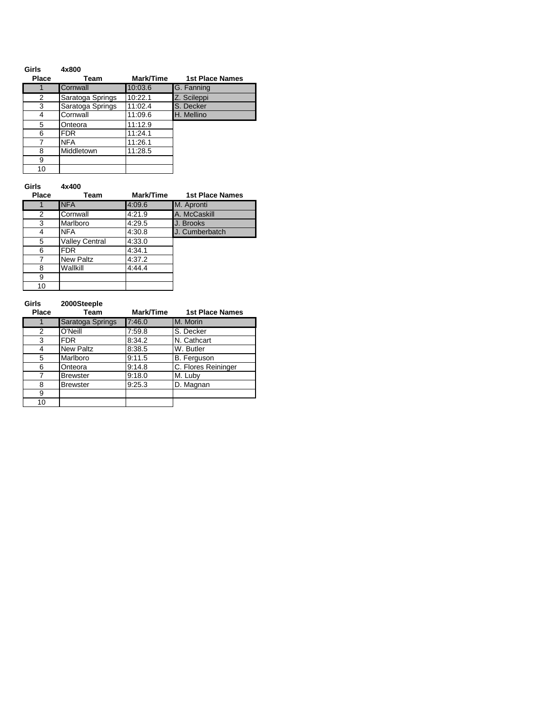| Girls        | 4x800            |           |                        |
|--------------|------------------|-----------|------------------------|
| <b>Place</b> | Team             | Mark/Time | <b>1st Place Names</b> |
|              | Cornwall         | 10:03.6   | G. Fanning             |
| 2            | Saratoga Springs | 10:22.1   | Z. Scileppi            |
| 3            | Saratoga Springs | 11:02.4   | S. Decker              |
| 4            | Cornwall         | 11:09.6   | H. Mellino             |
| 5            | Onteora          | 11:12.9   |                        |
| 6            | FDR.             | 11:24.1   |                        |
| 7            | <b>NFA</b>       | 11:26.1   |                        |
| 8            | Middletown       | 11:28.5   |                        |
| 9            |                  |           |                        |
| 10           |                  |           |                        |

### **Girls 4x400**

| <b>Place</b> | Team                  | Mark/Time | <b>1st Place Names</b> |
|--------------|-----------------------|-----------|------------------------|
|              | <b>NFA</b>            | 4:09.6    | M. Apronti             |
| 2            | Cornwall              | 4:21.9    | A. McCaskill           |
| 3            | Marlboro              | 4:29.5    | J. Brooks              |
| 4            | <b>NFA</b>            | 4:30.8    | J. Cumberbatch         |
| 5            | <b>Valley Central</b> | 4:33.0    |                        |
| 6            | <b>FDR</b>            | 4:34.1    |                        |
| 7            | <b>New Paltz</b>      | 4:37.2    |                        |
| 8            | Wallkill              | 4:44.4    |                        |
| 9            |                       |           |                        |
| 10           |                       |           |                        |

| Girls<br><b>Place</b> | 2000Steeple<br><b>Team</b> | Mark/Time | <b>1st Place Names</b> |
|-----------------------|----------------------------|-----------|------------------------|
|                       | Saratoga Springs           | 7:46.0    | M. Morin               |
| 2                     | O'Neill                    | 7:59.8    | S. Decker              |
| 3                     | <b>FDR</b>                 | 8:34.2    | N. Cathcart            |
| 4                     | <b>New Paltz</b>           | 8:38.5    | W. Butler              |
| 5                     | Marlboro                   | 9:11.5    | B. Ferguson            |
| 6                     | Onteora                    | 9:14.8    | C. Flores Reininger    |
| 7                     | <b>Brewster</b>            | 9.18.0    | M. Luby                |
| 8                     | <b>Brewster</b>            | 9:25.3    | D. Magnan              |
| 9                     |                            |           |                        |
| 10                    |                            |           |                        |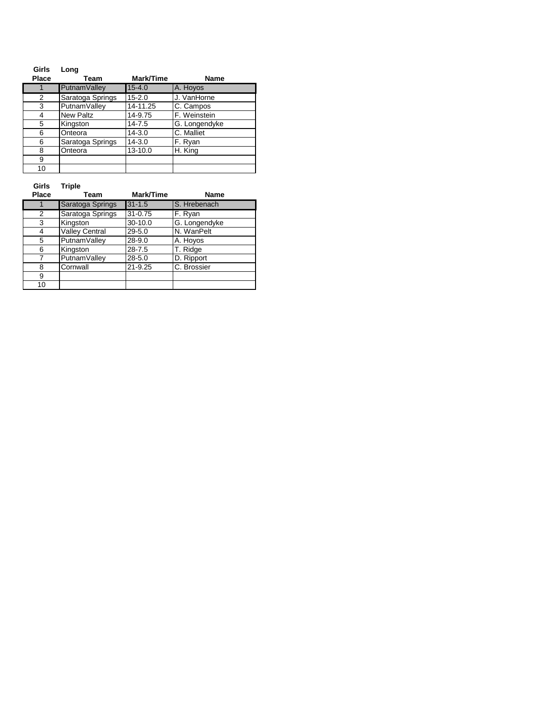| Girls        | Long             |            |               |
|--------------|------------------|------------|---------------|
| <b>Place</b> | Team             | Mark/Time  | <b>Name</b>   |
|              | PutnamValley     | $15 - 4.0$ | A. Hoyos      |
| 2            | Saratoga Springs | $15 - 2.0$ | J. VanHorne   |
| 3            | PutnamValley     | 14-11.25   | C. Campos     |
| 4            | <b>New Paltz</b> | 14-9.75    | F. Weinstein  |
| 5            | Kingston         | $14 - 7.5$ | G. Longendyke |
| 6            | Onteora          | $14 - 3.0$ | C. Malliet    |
| 6            | Saratoga Springs | $14 - 3.0$ | F. Ryan       |
| 8            | Onteora          | 13-10.0    | H. King       |
| 9            |                  |            |               |
| 10           |                  |            |               |

**Girls Triple**

| Place | Team                  | Mark/Time   | <b>Name</b>   |
|-------|-----------------------|-------------|---------------|
|       | Saratoga Springs      | $31 - 1.5$  | S. Hrebenach  |
| 2     | Saratoga Springs      | $31 - 0.75$ | F. Ryan       |
| 3     | Kingston              | 30-10.0     | G. Longendyke |
| 4     | <b>Valley Central</b> | $29 - 5.0$  | N. WanPelt    |
| 5     | PutnamValley          | $28 - 9.0$  | A. Hoyos      |
| 6     | Kingston              | $28 - 7.5$  | T. Ridge      |
|       | PutnamValley          | $28 - 5.0$  | D. Ripport    |
| 8     | Cornwall              | $21 - 9.25$ | C. Brossier   |
| 9     |                       |             |               |
| 10    |                       |             |               |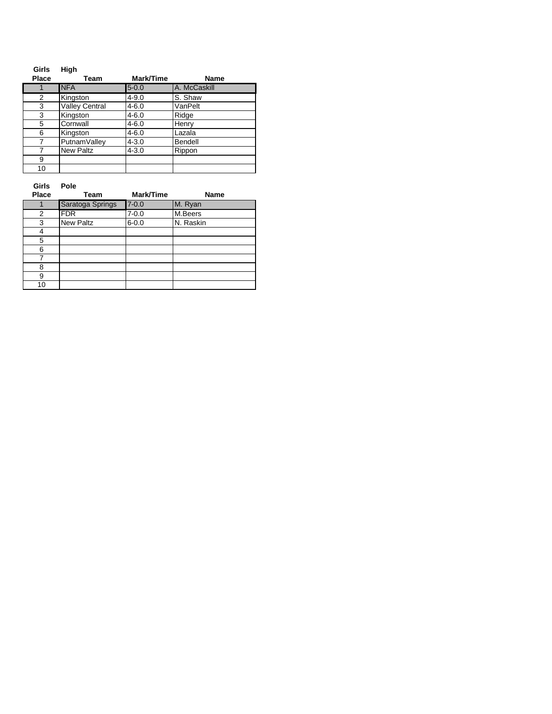| Girls        | High                  |           |              |
|--------------|-----------------------|-----------|--------------|
| <b>Place</b> | Team                  | Mark/Time | Name         |
| 1            | <b>NFA</b>            | $5 - 0.0$ | A. McCaskill |
| 2            | Kingston              | $4 - 9.0$ | S. Shaw      |
| 3            | <b>Valley Central</b> | $4 - 6.0$ | VanPelt      |
| 3            | Kingston              | $4 - 6.0$ | Ridge        |
| 5            | Cornwall              | $4 - 6.0$ | Henry        |
| 6            | Kingston              | $4 - 6.0$ | Lazala       |
| 7            | PutnamValley          | $4 - 3.0$ | Bendell      |
|              | New Paltz             | $4 - 3.0$ | Rippon       |
| 9            |                       |           |              |
| 10           |                       |           |              |

**Girls Pole**

| <b>Place</b> | Team             | Mark/Time | Name      |
|--------------|------------------|-----------|-----------|
|              | Saratoga Springs | $7 - 0.0$ | M. Ryan   |
| 2            | <b>FDR</b>       | $7 - 0.0$ | M.Beers   |
| 3            | <b>New Paltz</b> | $6 - 0.0$ | N. Raskin |
|              |                  |           |           |
| 5            |                  |           |           |
| 6            |                  |           |           |
|              |                  |           |           |
| ጸ            |                  |           |           |
| 9            |                  |           |           |
| 10           |                  |           |           |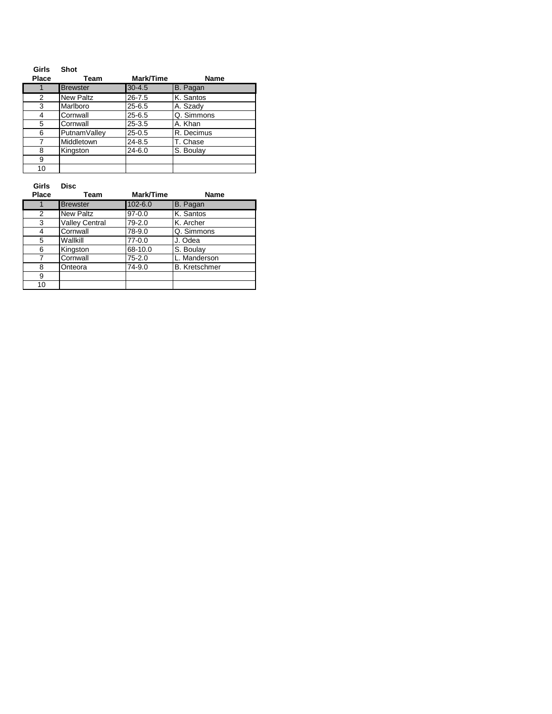| Girls        | Shot             |            |             |
|--------------|------------------|------------|-------------|
| <b>Place</b> | Team             | Mark/Time  | <b>Name</b> |
|              | <b>Brewster</b>  | $30 - 4.5$ | B. Pagan    |
| 2            | <b>New Paltz</b> | $26 - 7.5$ | K. Santos   |
| 3            | Marlboro         | $25 - 6.5$ | A. Szady    |
| 4            | Cornwall         | $25 - 6.5$ | Q. Simmons  |
| 5            | Cornwall         | $25 - 3.5$ | A. Khan     |
| 6            | PutnamValley     | $25 - 0.5$ | R. Decimus  |
| 7            | Middletown       | $24 - 8.5$ | T. Chase    |
| 8            | Kingston         | $24 - 6.0$ | S. Boulay   |
| 9            |                  |            |             |
| 10           |                  |            |             |

**Girls Disc**

| <b>Place</b> | Team                  | Mark/Time   | Name                 |
|--------------|-----------------------|-------------|----------------------|
|              | <b>Brewster</b>       | $102 - 6.0$ | B. Pagan             |
| 2            | <b>New Paltz</b>      | $97 - 0.0$  | K. Santos            |
| 3            | <b>Valley Central</b> | 79-2.0      | K. Archer            |
| 4            | Cornwall              | 78-9.0      | Q. Simmons           |
| 5            | Wallkill              | $77-0.0$    | J. Odea              |
| 6            | Kingston              | 68-10.0     | S. Boulay            |
|              | Cornwall              | $75 - 2.0$  | L. Manderson         |
| 8            | Onteora               | 74-9.0      | <b>B.</b> Kretschmer |
| 9            |                       |             |                      |
| 10           |                       |             |                      |